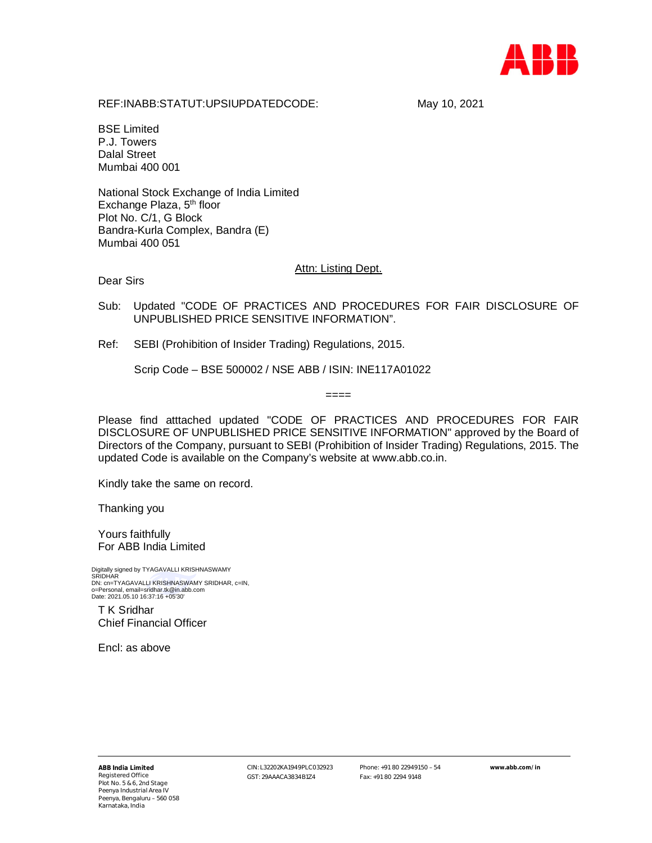

REF:INABB:STATUT:UPSIUPDATEDCODE: May 10, 2021

BSE Limited P.J. Towers Dalal Street Mumbai 400 001

National Stock Exchange of India Limited Exchange Plaza, 5<sup>th</sup> floor Plot No. C/1, G Block Bandra-Kurla Complex, Bandra (E) Mumbai 400 051

**Attn: Listing Dept.** 

Dear Sirs

Sub: Updated "CODE OF PRACTICES AND PROCEDURES FOR FAIR DISCLOSURE OF UNPUBLISHED PRICE SENSITIVE INFORMATION".

Ref: SEBI (Prohibition of Insider Trading) Regulations, 2015.

Scrip Code – BSE 500002 / NSE ABB / ISIN: INE117A01022

Please find atttached updated "CODE OF PRACTICES AND PROCEDURES FOR FAIR DISCLOSURE OF UNPUBLISHED PRICE SENSITIVE INFORMATION" approved by the Board of Directors of the Company, pursuant to SEBI (Prohibition of Insider Trading) Regulations, 2015. The updated Code is available on the Company's website at www.abb.co.in.

 $====$ 

Kindly take the same on record.

Thanking you

Yours faithfully For ABB India Limited

Digitally signed by TYAGAVALLI KRISHNASWAMY SRIDHAR DN: cn=TYAGAVALLI KRISHNASWAMY SRIDHAR, c=IN, o=Personal, email=sridhar.tk@in.abb.com Date: 2021.05.10 16:37:16 +05'30'

T K Sridhar Chief Financial Officer

Encl: as above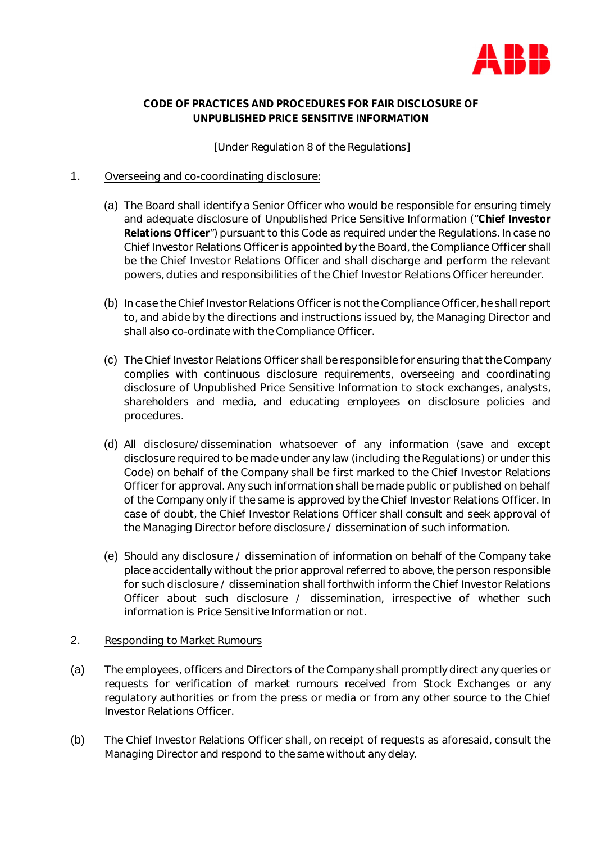

# **CODE OF PRACTICES AND PROCEDURES FOR FAIR DISCLOSURE OF UNPUBLISHED PRICE SENSITIVE INFORMATION**

### [Under Regulation 8 of the Regulations]

### 1. Overseeing and co-coordinating disclosure:

- (a) The Board shall identify a Senior Officer who would be responsible for ensuring timely and adequate disclosure of Unpublished Price Sensitive Information ("**Chief Investor Relations Officer**") pursuant to this Code as required under the Regulations. In case no Chief Investor Relations Officer is appointed by the Board, the Compliance Officer shall be the Chief Investor Relations Officer and shall discharge and perform the relevant powers, duties and responsibilities of the Chief Investor Relations Officer hereunder.
- (b) In case the Chief Investor Relations Officer is not the Compliance Officer, he shall report to, and abide by the directions and instructions issued by, the Managing Director and shall also co-ordinate with the Compliance Officer.
- (c) The Chief Investor Relations Officer shall be responsible for ensuring that the Company complies with continuous disclosure requirements, overseeing and coordinating disclosure of Unpublished Price Sensitive Information to stock exchanges, analysts, shareholders and media, and educating employees on disclosure policies and procedures.
- (d) All disclosure/dissemination whatsoever of any information (save and except disclosure required to be made under any law (including the Regulations) or under this Code) on behalf of the Company shall be first marked to the Chief Investor Relations Officer for approval. Any such information shall be made public or published on behalf of the Company only if the same is approved by the Chief Investor Relations Officer. In case of doubt, the Chief Investor Relations Officer shall consult and seek approval of the Managing Director before disclosure / dissemination of such information.
- (e) Should any disclosure / dissemination of information on behalf of the Company take place accidentally without the prior approval referred to above, the person responsible for such disclosure / dissemination shall forthwith inform the Chief Investor Relations Officer about such disclosure / dissemination, irrespective of whether such information is Price Sensitive Information or not.

### 2. Responding to Market Rumours

- (a) The employees, officers and Directors of the Company shall promptly direct any queries or requests for verification of market rumours received from Stock Exchanges or any regulatory authorities or from the press or media or from any other source to the Chief Investor Relations Officer.
- (b) The Chief Investor Relations Officer shall, on receipt of requests as aforesaid, consult the Managing Director and respond to the same without any delay.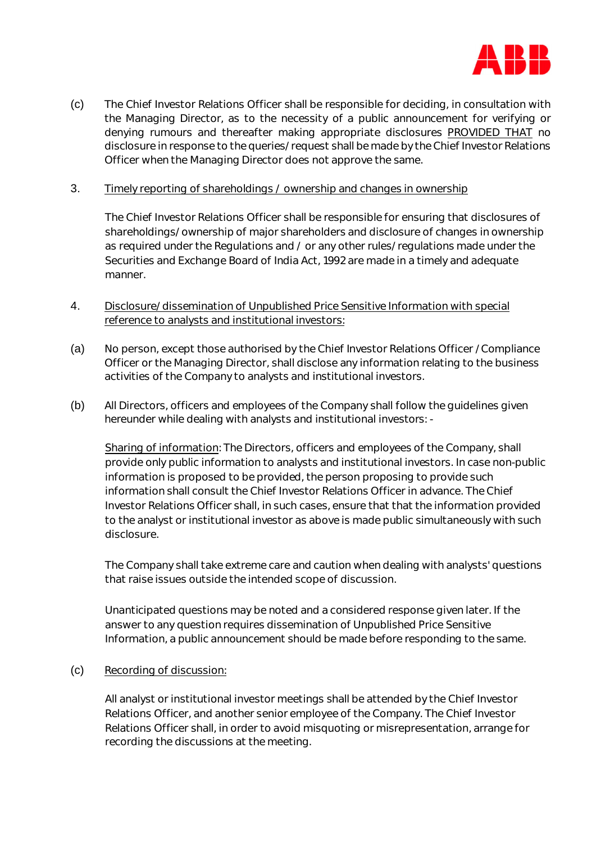

(c) The Chief Investor Relations Officer shall be responsible for deciding, in consultation with the Managing Director, as to the necessity of a public announcement for verifying or denying rumours and thereafter making appropriate disclosures PROVIDED THAT no disclosure in response to the queries/request shall be made by the Chief Investor Relations Officer when the Managing Director does not approve the same.

### 3. Timely reporting of shareholdings / ownership and changes in ownership

The Chief Investor Relations Officer shall be responsible for ensuring that disclosures of shareholdings/ownership of major shareholders and disclosure of changes in ownership as required under the Regulations and / or any other rules/regulations made under the Securities and Exchange Board of India Act, 1992 are made in a timely and adequate manner.

# 4. Disclosure/dissemination of Unpublished Price Sensitive Information with special reference to analysts and institutional investors:

- (a) No person, except those authorised by the Chief Investor Relations Officer /Compliance Officer or the Managing Director, shall disclose any information relating to the business activities of the Company to analysts and institutional investors.
- (b) All Directors, officers and employees of the Company shall follow the guidelines given hereunder while dealing with analysts and institutional investors: -

Sharing of information: The Directors, officers and employees of the Company, shall provide only public information to analysts and institutional investors. In case non-public information is proposed to be provided, the person proposing to provide such information shall consult the Chief Investor Relations Officer in advance. The Chief Investor Relations Officer shall, in such cases, ensure that that the information provided to the analyst or institutional investor as above is made public simultaneously with such disclosure.

The Company shall take extreme care and caution when dealing with analysts' questions that raise issues outside the intended scope of discussion.

Unanticipated questions may be noted and a considered response given later. If the answer to any question requires dissemination of Unpublished Price Sensitive Information, a public announcement should be made before responding to the same.

#### (c) Recording of discussion:

All analyst or institutional investor meetings shall be attended by the Chief Investor Relations Officer, and another senior employee of the Company. The Chief Investor Relations Officer shall, in order to avoid misquoting or misrepresentation, arrange for recording the discussions at the meeting.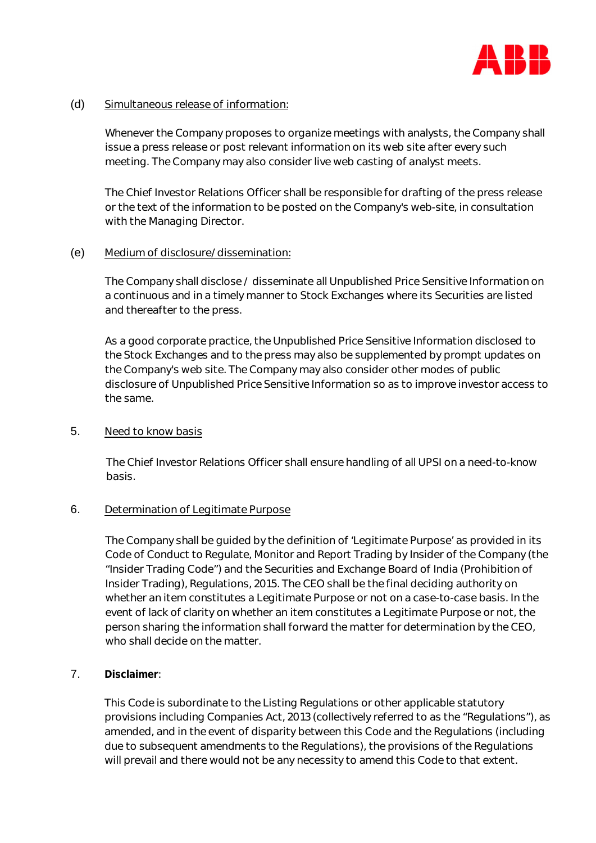

### (d) Simultaneous release of information:

Whenever the Company proposes to organize meetings with analysts, the Company shall issue a press release or post relevant information on its web site after every such meeting. The Company may also consider live web casting of analyst meets.

The Chief Investor Relations Officer shall be responsible for drafting of the press release or the text of the information to be posted on the Company's web-site, in consultation with the Managing Director.

### (e) Medium of disclosure/dissemination:

The Company shall disclose / disseminate all Unpublished Price Sensitive Information on a continuous and in a timely manner to Stock Exchanges where its Securities are listed and thereafter to the press.

As a good corporate practice, the Unpublished Price Sensitive Information disclosed to the Stock Exchanges and to the press may also be supplemented by prompt updates on the Company's web site. The Company may also consider other modes of public disclosure of Unpublished Price Sensitive Information so as to improve investor access to the same.

### 5. Need to know basis

The Chief Investor Relations Officer shall ensure handling of all UPSI on a need-to-know basis.

### 6. Determination of Legitimate Purpose

The Company shall be guided by the definition of 'Legitimate Purpose' as provided in its Code of Conduct to Regulate, Monitor and Report Trading by Insider of the Company (the "Insider Trading Code") and the Securities and Exchange Board of India (Prohibition of Insider Trading), Regulations, 2015. The CEO shall be the final deciding authority on whether an item constitutes a Legitimate Purpose or not on a case-to-case basis. In the event of lack of clarity on whether an item constitutes a Legitimate Purpose or not, the person sharing the information shall forward the matter for determination by the CEO, who shall decide on the matter.

# 7. **Disclaimer**:

This Code is subordinate to the Listing Regulations or other applicable statutory provisions including Companies Act, 2013 (collectively referred to as the "Regulations"), as amended, and in the event of disparity between this Code and the Regulations (including due to subsequent amendments to the Regulations), the provisions of the Regulations will prevail and there would not be any necessity to amend this Code to that extent.